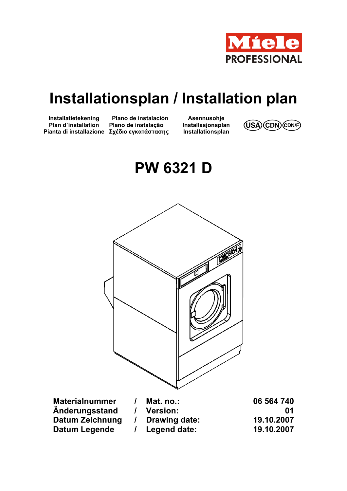

# **Installationsplan / Installation plan**

**Installatietekening Plan d`installation Pianta di installazione Σχέδιο εγκατάστασης**

**Plano de instalación Plano de instalação** 

**Asennusohje Installasjonsplan** 



**PW 6321 D** 



| <b>Materialnummer</b> | Mat. no.:       | 06 564 740 |
|-----------------------|-----------------|------------|
| Anderungsstand        | <b>Version:</b> | 01         |
| Datum Zeichnung       | Drawing date:   | 19.10.2007 |
| Datum Legende         | / Legend date:  | 19.10.2007 |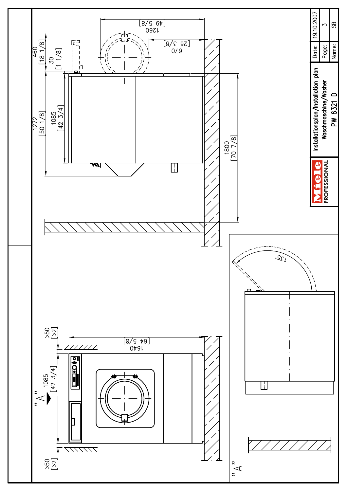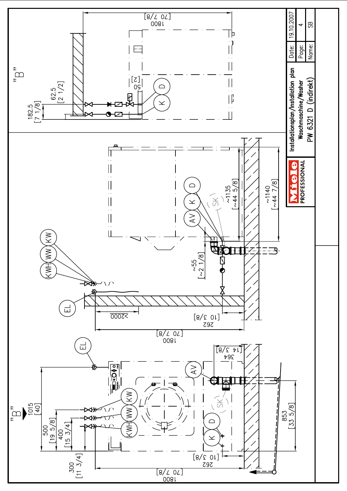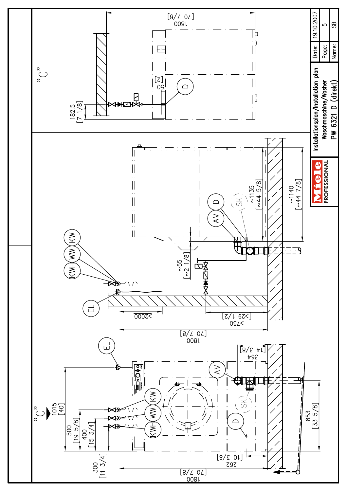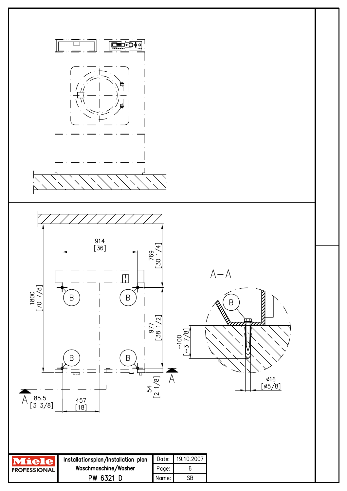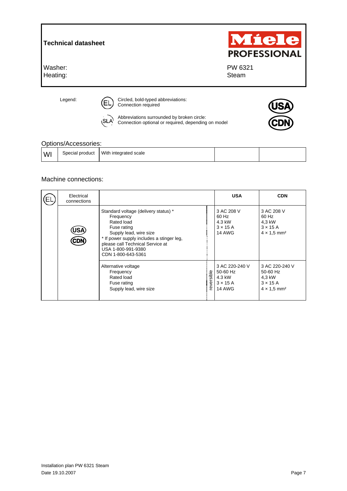| <b>Technical datasheet</b> |                                                                 | Miele<br><b>PROFESSIONAL</b> |  |  |
|----------------------------|-----------------------------------------------------------------|------------------------------|--|--|
| Washer:<br>Heating:        |                                                                 | PW 6321<br>Steam             |  |  |
| Legend:                    | Circled, bold-typed abbreviations:<br>Εl<br>Connection required |                              |  |  |

Options/Accessories:

|     | <b>OPHONO</b> NUCCOOLIGO. |                       |  |  |  |  |
|-----|---------------------------|-----------------------|--|--|--|--|
| WI. | Special product           | With integrated scale |  |  |  |  |

Connection optional or required, depending on model

 $\sim$  Abbreviations surrounded by broken circle:

### Machine connections:

| Electrical<br>connections |                                                                                                                                                                                                                                       |           | <b>USA</b>                                                               | <b>CDN</b>                                                                                |
|---------------------------|---------------------------------------------------------------------------------------------------------------------------------------------------------------------------------------------------------------------------------------|-----------|--------------------------------------------------------------------------|-------------------------------------------------------------------------------------------|
| lS/<br>CDN                | Standard voltage (delivery status) *<br>Frequency<br>Rated load<br>Fuse rating<br>Supply lead, wire size<br>* If power supply includes a stinger leg.<br>please call Technical Service at<br>USA 1-800-991-9380<br>CDN 1-800-643-5361 |           | 3 AC 208 V<br>60 Hz<br>4.3 kW<br>$3 \times 15$ A<br>14 AWG               | 3 AC 208 V<br>60 Hz<br>4,3 kW<br>$3 \times 15$ A<br>$4 \times 1.5$ mm <sup>2</sup>        |
|                           | Alternative voltage<br>Frequency<br>Rated load<br>Fuse rating<br>Supply lead, wire size                                                                                                                                               | eversible | 3 AC 220-240 V<br>50-60 Hz<br>4.3 kW<br>$3 \times 15$ A<br><b>14 AWG</b> | 3 AC 220-240 V<br>50-60 Hz<br>4.3 kW<br>$3 \times 15$ A<br>$4 \times 1.5$ mm <sup>2</sup> |

JS/

**CDN**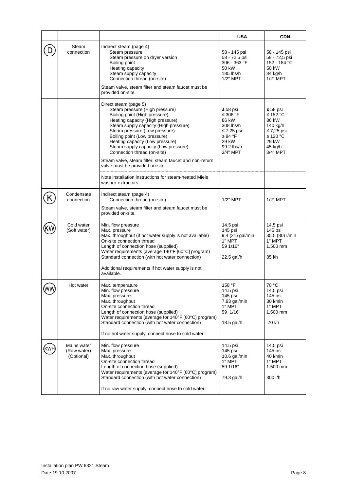|     |                                          |                                                                                                                                                                                                                                                                                                                                                                                    | <b>USA</b>                                                                                 | <b>CDN</b>                                                                              |
|-----|------------------------------------------|------------------------------------------------------------------------------------------------------------------------------------------------------------------------------------------------------------------------------------------------------------------------------------------------------------------------------------------------------------------------------------|--------------------------------------------------------------------------------------------|-----------------------------------------------------------------------------------------|
|     | Steam<br>connection                      | Indirect steam (page 4)<br>Steam pressure<br>Steam pressure on dryer version<br>Boiling point<br>Heating capacity<br>Steam supply capacity<br>Connection thread (on-site)<br>Steam valve, steam filter and steam faucet must be<br>provided on-site.                                                                                                                               | 58 - 145 psi<br>58 - 72.5 psi<br>306 - 363 °F<br>50 kW<br>185 lbs/h<br>$1/2"$ MPT          | 58 - 145 psi<br>58 - 72,5 psi<br>152 - 184 °C<br>50 kW<br>84 kg/h<br>1/2" MPT           |
|     |                                          | Direct steam (page 5)<br>Steam pressure (High pressure)                                                                                                                                                                                                                                                                                                                            | $\leq 58$ psi                                                                              | ≤ 58 psi                                                                                |
|     |                                          | Boiling point (High pressure)<br>Heating capacity (High pressure)<br>Steam supply capacity (High pressure)<br>Steam pressure (Low pressure)<br>Boiling point (Low pressure)<br>Heating capacity (Low pressure)<br>Steam supply capacity (Low pressure)<br>Connection thread (on-site)<br>Steam valve, steam filter, steam faucet and non-return<br>valve must be provided on-site. | ≤ 306 °F<br>86 kW<br>308 lbs/h<br>≤ 7.25 psi<br>≤ 84 °F<br>29 kW<br>99.2 lbs/h<br>3/4" MPT | ≤ 152 °C<br>86 kW<br>140 kg/h<br>≤ 7,25 psi<br>≤ 120 °C<br>29 kW<br>45 kg/h<br>3/4" MPT |
|     |                                          | Note installation instructions for steam-heated Miele<br>washer-extractors.                                                                                                                                                                                                                                                                                                        |                                                                                            |                                                                                         |
|     | Condensate<br>connection                 | Indirect steam (page 4)<br>Connection thread (on-site)<br>Steam valve, steam filter and steam faucet must be<br>provided on-site.                                                                                                                                                                                                                                                  | $1/2"$ MPT                                                                                 | $1/2"$ MPT                                                                              |
|     | Cold water<br>(Soft water)               | Min. flow pressure<br>Max. pressure<br>Max. throughput (if hot water supply is not available)<br>On-site connection thread<br>Length of connection hose (supplied)<br>Water requirements (average 140°F [60°C] program)<br>Standard connection (with hot water connection)<br>Additional requirements if hot water supply is not<br>available.                                     | 14.5 psi<br>145 psi<br>9.4 (21) gal/min<br>1" MPT<br>59 1/16"<br>22.5 gal/h                | 14,5 psi<br>145 psi<br>35.5 (80) I/min<br>1" MPT<br>1.500 mm<br>85 l/h                  |
| (WW | Hot water                                | Max. temperature<br>Min. flow pressure<br>Max. pressure<br>Max. throughput<br>On-site connection thread<br>Length of connection hose (supplied)<br>Water requirements (average for 140°F [60°C] program)<br>Standard connection (with hot water connection)<br>If no hot water supply, connect hose to cold water!                                                                 | 158 °F<br>14.5 psi<br>145 psi<br>7.93 gal/min<br>1" MPT<br>59 1/16"<br>18.5 gal/h          | 70 °C<br>14,5 psi<br>145 psi<br>30 l/min<br>1" MPT<br>1.500 mm<br>70 l/h                |
|     | Mains water<br>(Raw water)<br>(Optional) | Min. flow pressure<br>Max. pressure<br>Max. throughput<br>On-site connection thread<br>Length of connection hose (supplied)<br>Water requirements (average for 140°F [60°C] program)<br>Standard connection (with hot water connection)<br>If no raw water supply, connect hose to cold water!                                                                                     | 14.5 psi<br>145 psi<br>$10.6$ gal/min<br>1" MPT<br>59 1/16"<br>79.3 gal/h                  | 14,5 psi<br>145 psi<br>40 l/min<br>1" MPT<br>$1.500$ mm<br>300 l/h                      |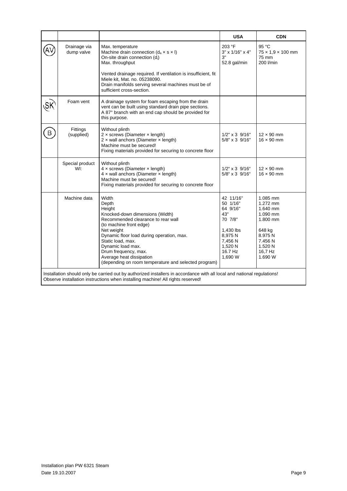|                                                                                                                                                                                                            |                            |                                                                                                                                                                                                                                                                                                                                               | <b>USA</b>                                                                                                             | <b>CDN</b>                                                                                                               |  |
|------------------------------------------------------------------------------------------------------------------------------------------------------------------------------------------------------------|----------------------------|-----------------------------------------------------------------------------------------------------------------------------------------------------------------------------------------------------------------------------------------------------------------------------------------------------------------------------------------------|------------------------------------------------------------------------------------------------------------------------|--------------------------------------------------------------------------------------------------------------------------|--|
|                                                                                                                                                                                                            | Drainage via<br>dump valve | Max. temperature<br>Machine drain connection $(d_a \times s \times l)$<br>On-site drain connection (d <sub>i</sub> )<br>Max. throughput<br>Vented drainage required. If ventilation is insufficient, fit<br>Miele kit. Mat. no. 05238090.<br>Drain manifolds serving several machines must be of<br>sufficient cross-section.                 | 203 °F<br>3" x 1/16" x 4"<br>3"<br>52.8 gal/min                                                                        | 95 °C<br>$75 \times 1,9 \times 100$ mm<br>75 mm<br>200 l/min                                                             |  |
|                                                                                                                                                                                                            | Foam vent                  | A drainage system for foam escaping from the drain<br>vent can be built using standard drain pipe sections.<br>A 87° branch with an end cap should be provided for<br>this purpose.                                                                                                                                                           |                                                                                                                        |                                                                                                                          |  |
| B                                                                                                                                                                                                          | Fittings<br>(supplied)     | Without plinth<br>$2 \times$ screws (Diameter $\times$ length)<br>$2 \times$ wall anchors (Diameter $\times$ length)<br>Machine must be secured!<br>Fixing materials provided for securing to concrete floor                                                                                                                                  | $1/2$ " x 3 $9/16$ "<br>$5/8" \times 3 \frac{9}{16"$                                                                   | $12 \times 90$ mm<br>$16 \times 90$ mm                                                                                   |  |
|                                                                                                                                                                                                            | Special product<br>WI:     | Without plinth<br>$4 \times$ screws (Diameter $\times$ length)<br>$4 \times$ wall anchors (Diameter $\times$ length)<br>Machine must be secured!<br>Fixing materials provided for securing to concrete floor                                                                                                                                  | $1/2$ " x 3 $9/16$ "<br>$5/8$ " x 3 $9/16$ "                                                                           | $12 \times 90$ mm<br>$16 \times 90$ mm                                                                                   |  |
|                                                                                                                                                                                                            | Machine data               | Width<br>Depth<br>Height<br>Knocked-down dimensions (Width)<br>Recommended clearance to rear wall<br>(to machine front edge)<br>Net weight<br>Dynamic floor load during operation, max.<br>Static load, max.<br>Dynamic load max.<br>Drum frequency, max.<br>Average heat dissipation<br>(depending on room temperature and selected program) | 42 11/16"<br>50 1/16"<br>64 9/16"<br>43"<br>70 7/8"<br>1,430 lbs<br>8,975N<br>7.456 N<br>1,520 N<br>16.7 Hz<br>1,690 W | 1.085 mm<br>1.272 mm<br>1.640 mm<br>1.090 mm<br>1.800 mm<br>648 kg<br>8.975N<br>7.456 N<br>1.520 N<br>16.7 Hz<br>1.690 W |  |
| Installation should only be carried out by authorized installers in accordance with all local and national regulations!<br>Observe installation instructions when installing machine! All rights reserved! |                            |                                                                                                                                                                                                                                                                                                                                               |                                                                                                                        |                                                                                                                          |  |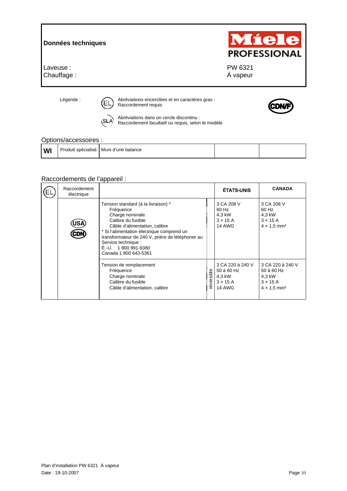## **Données techniques**

Laveuse : Chauffage :

Légende :  $\sqrt{n}$  Abréviations encerclées et en caractères gras : Raccordement requis



Miele

**PROFESSIONAL** 

 PW 6321 À vapeur

Abréviations dans un cercle discontinu : Raccordement facultatif ou requis, selon le modèle

### Options/accessoires :

|                     | _________________  |                      |  |
|---------------------|--------------------|----------------------|--|
| <b>A 8 8 8</b><br>M | Produit spécialisé | l Muni d'une balance |  |

## Raccordements de l'appareil :

| Raccordement<br>électrique |                                                                                                                                                                                                                                                                                                        |            | <b>ÉTATS-UNIS</b>                                                            | <b>CANADA</b>                                                                                 |
|----------------------------|--------------------------------------------------------------------------------------------------------------------------------------------------------------------------------------------------------------------------------------------------------------------------------------------------------|------------|------------------------------------------------------------------------------|-----------------------------------------------------------------------------------------------|
| JS/                        | Tension standard (à la livraison) *<br>Fréquence<br>Charge nominale<br>Calibre du fusible<br>Câble d'alimentation, calibre<br>* Si l'alimentation électrique comprend un<br>transformateur de 240 V, prière de téléphoner au<br>Service technique :<br>$E.-U.$ 1 800 991-9380<br>Canada 1 800 643-5361 |            | 3 CA 208 V<br>60 Hz<br>4.3 kW<br>$3 \times 15$ A<br><b>14 AWG</b>            | 3 CA 208 V<br>60 Hz<br>4,3 kW<br>$3 \times 15$ A<br>$4 \times 1.5$ mm <sup>2</sup>            |
|                            | Tension de remplacement<br>Fréquence<br>Charge nominale<br>Calibre du fusible<br>Câble d'alimentation, calibre                                                                                                                                                                                         | réversible | 3 CA 220 à 240 V<br>50 à 60 Hz<br>4,3 kW<br>$3 \times 15$ A<br><b>14 AWG</b> | 3 CA 220 à 240 V<br>50 à 60 Hz<br>4,3 kW<br>$3 \times 15$ A<br>$4 \times 1.5$ mm <sup>2</sup> |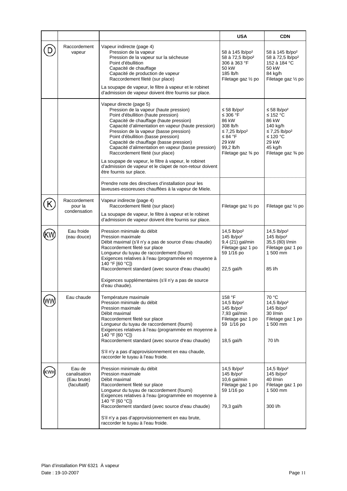|     |                                                       |                                                                                                                                                                                                                                                                                                                                                                                                                                                                                                                                                                             | <b>USA</b>                                                                                                                               | <b>CDN</b>                                                                                                                              |
|-----|-------------------------------------------------------|-----------------------------------------------------------------------------------------------------------------------------------------------------------------------------------------------------------------------------------------------------------------------------------------------------------------------------------------------------------------------------------------------------------------------------------------------------------------------------------------------------------------------------------------------------------------------------|------------------------------------------------------------------------------------------------------------------------------------------|-----------------------------------------------------------------------------------------------------------------------------------------|
|     | Raccordement<br>vapeur                                | Vapeur indirecte (page 4)<br>Pression de la vapeur<br>Pression de la vapeur sur la sécheuse<br>Point d'ébullition<br>Capacité de chauffage<br>Capacité de production de vapeur<br>Raccordement fileté (sur place)<br>La soupape de vapeur, le filtre à vapeur et le robinet<br>d'admission de vapeur doivent être fournis sur place.                                                                                                                                                                                                                                        | 58 à 145 lb/po <sup>2</sup><br>58 à 72,5 lb/po <sup>2</sup><br>306 à 363 °F<br>50 kW<br>185 lb/h<br>Filetage gaz 1/2 po                  | 58 à 145 lb/po <sup>2</sup><br>58 à 72,5 lb/po <sup>2</sup><br>152 à 184 °C<br>50 kW<br>84 kg/h<br>Filetage gaz 1/2 po                  |
|     |                                                       | Vapeur directe (page 5)<br>Pression de la vapeur (haute pression)<br>Point d'ébullition (haute pression)<br>Capacité de chauffage (haute pression)<br>Capacité d'alimentation en vapeur (haute pression)<br>Pression de la vapeur (basse pression)<br>Point d'ébullition (basse pression)<br>Capacité de chauffage (basse pression)<br>Capacité d'alimentation en vapeur (basse pression)<br>Raccordement fileté (sur place)<br>La soupape de vapeur, le filtre à vapeur, le robinet<br>d'admission de vapeur et le clapet de non-retour doivent<br>être fournis sur place. | $≤ 58 lb/po2$<br>≤ 306 °F<br>86 kW<br>308 lb/h<br>$\leq$ 7,25 lb/po <sup>2</sup><br>≤ 84 °F<br>29 kW<br>99,2 lb/h<br>Filetage gaz 3⁄4 po | $≤ 58 lb/po2$<br>≤ 152 °C<br>86 kW<br>140 kg/h<br>$\leq$ 7,25 lb/po <sup>2</sup><br>≤ 120 °C<br>29 kW<br>45 kg/h<br>Filetage gaz 3⁄4 po |
|     |                                                       | Prendre note des directives d'installation pour les<br>laveuses-essoreuses chauffées à la vapeur de Miele.                                                                                                                                                                                                                                                                                                                                                                                                                                                                  |                                                                                                                                          |                                                                                                                                         |
|     | Raccordement<br>pour la<br>condensation               | Vapeur indirecte (page 4)<br>Raccordement fileté (sur place)<br>La soupape de vapeur, le filtre à vapeur et le robinet<br>d'admission de vapeur doivent être fournis sur place.                                                                                                                                                                                                                                                                                                                                                                                             | Filetage gaz 1/2 po                                                                                                                      | Filetage gaz 1/2 po                                                                                                                     |
|     | Eau froide<br>(eau douce)                             | Pression minimale du débit<br><b>Pression maximale</b><br>Débit maximal (s'il n'y a pas de source d'eau chaude)<br>Raccordement fileté sur place<br>Longueur du tuyau de raccordement (fourni)<br>Exigences relatives à l'eau (programmée en moyenne à<br>140 °F [60 °C])<br>Raccordement standard (avec source d'eau chaude)<br>Exigences supplémentaires (s'il n'y a pas de source<br>d'eau chaude).                                                                                                                                                                      | 14,5 lb/po <sup>2</sup><br>$145$ lb/po <sup>2</sup><br>9,4 (21) gal/min<br>Filetage gaz 1 po<br>59 1/16 po<br>22,5 gal/h                 | $14.5$ lb/po <sup>2</sup><br>$145$ lb/po <sup>2</sup><br>35,5 (80) l/min<br>Filetage gaz 1 po<br>1 500 mm<br>85 l/h                     |
|     | Eau chaude                                            | Température maximale<br>Pression minimale du débit<br><b>Pression maximale</b><br>Débit maximal<br>Raccordement fileté sur place<br>Longueur du tuyau de raccordement (fourni)<br>Exigences relatives à l'eau (programmée en moyenne à<br>140 °F [60 °C])<br>Raccordement standard (avec source d'eau chaude)<br>S'il n'y a pas d'approvisionnement en eau chaude,<br>raccorder le tuyau à l'eau froide.                                                                                                                                                                    | 158 °F<br>$14,5$ lb/po <sup>2</sup><br>145 lb/po <sup>2</sup><br>7,93 gal/min<br>Filetage gaz 1 po<br>59 1/16 po<br>18,5 gal/h           | 70 °C<br>14,5 lb/po <sup>2</sup><br>$145$ lb/po <sup>2</sup><br>30 l/min<br>Filetage gaz 1 po<br>1 500 mm<br>70 l/h                     |
| (WI | Eau de<br>canalisation<br>(Eau brute)<br>(facultatif) | Pression minimale du débit<br>Pression maximale<br>Débit maximal<br>Raccordement fileté sur place<br>Longueur du tuyau de raccordement (fourni)<br>Exigences relatives à l'eau (programmée en moyenne à<br>140 °F [60 °C])<br>Raccordement standard (avec source d'eau chaude)<br>S'il n'y a pas d'approvisionnement en eau brute,<br>raccorder le tuyau à l'eau froide.                                                                                                                                                                                                    | 14,5 lb/po <sup>2</sup><br>$145$ lb/po <sup>2</sup><br>10,6 gal/min<br>Filetage gaz 1 po<br>59 1/16 po<br>79,3 gal/h                     | 14,5 lb/po <sup>2</sup><br>$145$ lb/po <sup>2</sup><br>40 l/min<br>Filetage gaz 1 po<br>1 500 mm<br>300 l/h                             |